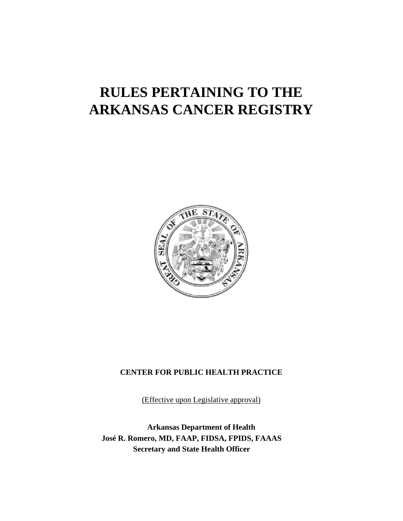# **RULES PERTAINING TO THE ARKANSAS CANCER REGISTRY**



## **CENTER FOR PUBLIC HEALTH PRACTICE**

(Effective upon Legislative approval)

**Arkansas Department of Health José R. Romero, MD, FAAP, FIDSA, FPIDS, FAAAS Secretary and State Health Officer**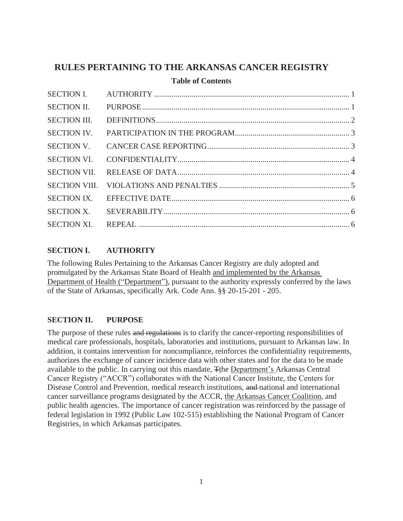# **RULES PERTAINING TO THE ARKANSAS CANCER REGISTRY**

#### **Table of Contents**

| <b>SECTION II.</b>  |  |
|---------------------|--|
| <b>SECTION III.</b> |  |
| <b>SECTION IV.</b>  |  |
| <b>SECTION V.</b>   |  |
| <b>SECTION VI.</b>  |  |
| <b>SECTION VII.</b> |  |
|                     |  |
| <b>SECTION IX.</b>  |  |
| <b>SECTION X.</b>   |  |
|                     |  |

# **SECTION I. AUTHORITY**

The following Rules Pertaining to the Arkansas Cancer Registry are duly adopted and promulgated by the Arkansas State Board of Health and implemented by the Arkansas Department of Health ("Department"), pursuant to the authority expressly conferred by the laws of the State of Arkansas, specifically Ark. Code Ann. §§ 20-15-201 - 205.

## **SECTION II. PURPOSE**

The purpose of these rules and regulations is to clarify the cancer-reporting responsibilities of medical care professionals, hospitals, laboratories and institutions, pursuant to Arkansas law. In addition, it contains intervention for noncompliance, reinforces the confidentiality requirements, authorizes the exchange of cancer incidence data with other states and for the data to be made available to the public. In carrying out this mandate, Tthe Department's Arkansas Central Cancer Registry ("ACCR") collaborates with the National Cancer Institute, the Centers for Disease Control and Prevention, medical research institutions, and national and international cancer surveillance programs designated by the ACCR, the Arkansas Cancer Coalition, and public health agencies. The importance of cancer registration was reinforced by the passage of federal legislation in 1992 (Public Law 102-515) establishing the National Program of Cancer Registries, in which Arkansas participates.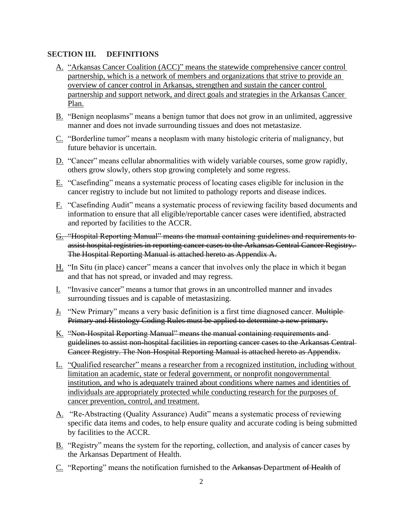#### **SECTION III. DEFINITIONS**

- A. "Arkansas Cancer Coalition (ACC)" means the statewide comprehensive cancer control partnership, which is a network of members and organizations that strive to provide an overview of cancer control in Arkansas, strengthen and sustain the cancer control partnership and support network, and direct goals and strategies in the Arkansas Cancer Plan.
- B. "Benign neoplasms" means a benign tumor that does not grow in an unlimited, aggressive manner and does not invade surrounding tissues and does not metastasize.
- C. "Borderline tumor" means a neoplasm with many histologic criteria of malignancy, but future behavior is uncertain.
- D. "Cancer" means cellular abnormalities with widely variable courses, some grow rapidly, others grow slowly, others stop growing completely and some regress.
- E. "Casefinding" means a systematic process of locating cases eligible for inclusion in the cancer registry to include but not limited to pathology reports and disease indices.
- F. "Casefinding Audit" means a systematic process of reviewing facility based documents and information to ensure that all eligible/reportable cancer cases were identified, abstracted and reported by facilities to the ACCR.
- G. "Hospital Reporting Manual" means the manual containing guidelines and requirements to assist hospital registries in reporting cancer cases to the Arkansas Central Cancer Registry. The Hospital Reporting Manual is attached hereto as Appendix A.
- H. "In Situ (in place) cancer" means a cancer that involves only the place in which it began and that has not spread, or invaded and may regress.
- I. "Invasive cancer" means a tumor that grows in an uncontrolled manner and invades surrounding tissues and is capable of metastasizing.
- J. "New Primary" means a very basic definition is a first time diagnosed cancer. Multiple Primary and Histology Coding Rules must be applied to determine a new primary.
- K. "Non-Hospital Reporting Manual" means the manual containing requirements and guidelines to assist non-hospital facilities in reporting cancer cases to the Arkansas Central Cancer Registry. The Non-Hospital Reporting Manual is attached hereto as Appendix.
- L. "Qualified researcher" means a researcher from a recognized institution, including without limitation an academic, state or federal government, or nonprofit nongovernmental institution, and who is adequately trained about conditions where names and identities of individuals are appropriately protected while conducting research for the purposes of cancer prevention, control, and treatment.
- A. "Re-Abstracting (Quality Assurance) Audit" means a systematic process of reviewing specific data items and codes, to help ensure quality and accurate coding is being submitted by facilities to the ACCR.
- B. "Registry" means the system for the reporting, collection, and analysis of cancer cases by the Arkansas Department of Health.
- C. "Reporting" means the notification furnished to the Arkansas Department of Health of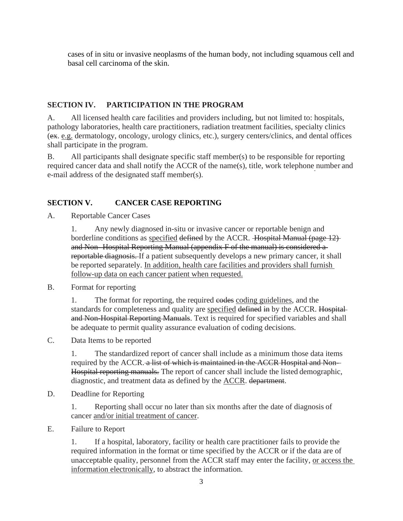cases of in situ or invasive neoplasms of the human body, not including squamous cell and basal cell carcinoma of the skin.

## **SECTION IV. PARTICIPATION IN THE PROGRAM**

A. All licensed health care facilities and providers including, but not limited to: hospitals, pathology laboratories, health care practitioners, radiation treatment facilities, specialty clinics (ex. e.g. dermatology, oncology, urology clinics, etc.), surgery centers/clinics, and dental offices shall participate in the program.

B. All participants shall designate specific staff member(s) to be responsible for reporting required cancer data and shall notify the ACCR of the name(s), title, work telephone number and e-mail address of the designated staff member(s).

# **SECTION V. CANCER CASE REPORTING**

A. Reportable Cancer Cases

1. Any newly diagnosed in-situ or invasive cancer or reportable benign and borderline conditions as specified defined by the ACCR. Hospital Manual (page 12) and Non- Hospital Reporting Manual (appendix F of the manual) is considered a reportable diagnosis. If a patient subsequently develops a new primary cancer, it shall be reported separately. In addition, health care facilities and providers shall furnish follow-up data on each cancer patient when requested.

B. Format for reporting

1. The format for reporting, the required eodes coding guidelines, and the standards for completeness and quality are specified defined in by the ACCR. Hospitaland Non-Hospital Reporting Manuals. Text is required for specified variables and shall be adequate to permit quality assurance evaluation of coding decisions.

C. Data Items to be reported

1. The standardized report of cancer shall include as a minimum those data items required by the ACCR. a list of which is maintained in the ACCR Hospital and Non-Hospital reporting manuals. The report of cancer shall include the listed demographic, diagnostic, and treatment data as defined by the **ACCR**. department.

D. Deadline for Reporting

1. Reporting shall occur no later than six months after the date of diagnosis of cancer and/or initial treatment of cancer.

E. Failure to Report

1. If a hospital, laboratory, facility or health care practitioner fails to provide the required information in the format or time specified by the ACCR or if the data are of unacceptable quality, personnel from the ACCR staff may enter the facility, or access the information electronically, to abstract the information.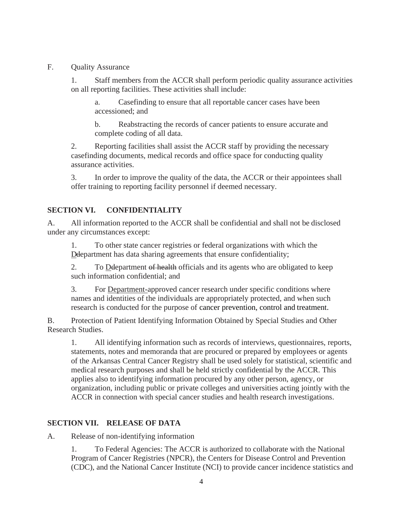#### F. Quality Assurance

1. Staff members from the ACCR shall perform periodic quality assurance activities on all reporting facilities. These activities shall include:

a. Casefinding to ensure that all reportable cancer cases have been accessioned; and

b. Reabstracting the records of cancer patients to ensure accurate and complete coding of all data.

2. Reporting facilities shall assist the ACCR staff by providing the necessary casefinding documents, medical records and office space for conducting quality assurance activities.

3. In order to improve the quality of the data, the ACCR or their appointees shall offer training to reporting facility personnel if deemed necessary.

# **SECTION VI. CONFIDENTIALITY**

A. All information reported to the ACCR shall be confidential and shall not be disclosed under any circumstances except:

1. To other state cancer registries or federal organizations with which the Deepartment has data sharing agreements that ensure confidentiality;

2. To Deepartment of health officials and its agents who are obligated to keep such information confidential; and

3. For Department-approved cancer research under specific conditions where names and identities of the individuals are appropriately protected, and when such research is conducted for the purpose of cancer prevention, control and treatment.

B. Protection of Patient Identifying Information Obtained by Special Studies and Other Research Studies.

1. All identifying information such as records of interviews, questionnaires, reports, statements, notes and memoranda that are procured or prepared by employees or agents of the Arkansas Central Cancer Registry shall be used solely for statistical, scientific and medical research purposes and shall be held strictly confidential by the ACCR. This applies also to identifying information procured by any other person, agency, or organization, including public or private colleges and universities acting jointly with the ACCR in connection with special cancer studies and health research investigations.

# **SECTION VII. RELEASE OF DATA**

A. Release of non-identifying information

1. To Federal Agencies: The ACCR is authorized to collaborate with the National Program of Cancer Registries (NPCR), the Centers for Disease Control and Prevention (CDC), and the National Cancer Institute (NCI) to provide cancer incidence statistics and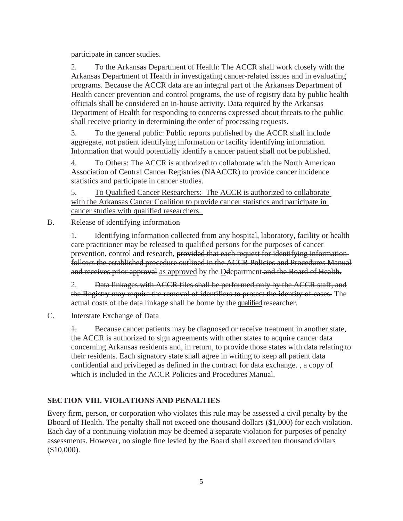participate in cancer studies.

2. To the Arkansas Department of Health: The ACCR shall work closely with the Arkansas Department of Health in investigating cancer-related issues and in evaluating programs. Because the ACCR data are an integral part of the Arkansas Department of Health cancer prevention and control programs, the use of registry data by public health officials shall be considered an in-house activity. Data required by the Arkansas Department of Health for responding to concerns expressed about threats to the public shall receive priority in determining the order of processing requests.

3. To the general public: Public reports published by the ACCR shall include aggregate, not patient identifying information or facility identifying information. Information that would potentially identify a cancer patient shall not be published.

4. To Others: The ACCR is authorized to collaborate with the North American Association of Central Cancer Registries (NAACCR) to provide cancer incidence statistics and participate in cancer studies.

5. To Qualified Cancer Researchers: The ACCR is authorized to collaborate with the Arkansas Cancer Coalition to provide cancer statistics and participate in cancer studies with qualified researchers.

B. Release of identifying information

1. Identifying information collected from any hospital, laboratory, facility or health care practitioner may be released to qualified persons for the purposes of cancer prevention, control and research, provided that each request for identifying informationfollows the established procedure outlined in the ACCR Policies and Procedures Manual and receives prior approval as approved by the Deepartment and the Board of Health.

2. Data linkages with ACCR files shall be performed only by the ACCR staff, and the Registry may require the removal of identifiers to protect the identity of cases. The actual costs of the data linkage shall be borne by the qualified researcher.

C. Interstate Exchange of Data

1. Because cancer patients may be diagnosed or receive treatment in another state, the ACCR is authorized to sign agreements with other states to acquire cancer data concerning Arkansas residents and, in return, to provide those states with data relating to their residents. Each signatory state shall agree in writing to keep all patient data confidential and privileged as defined in the contract for data exchange.  $\frac{1}{2}$  a copy of which is included in the ACCR Policies and Procedures Manual.

# **SECTION VIII. VIOLATIONS AND PENALTIES**

Every firm, person, or corporation who violates this rule may be assessed a civil penalty by the Bboard of Health. The penalty shall not exceed one thousand dollars (\$1,000) for each violation. Each day of a continuing violation may be deemed a separate violation for purposes of penalty assessments. However, no single fine levied by the Board shall exceed ten thousand dollars (\$10,000).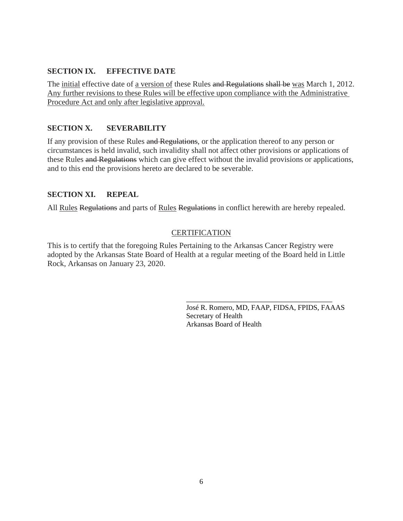#### **SECTION IX. EFFECTIVE DATE**

The initial effective date of a version of these Rules and Regulations shall be was March 1, 2012. Any further revisions to these Rules will be effective upon compliance with the Administrative Procedure Act and only after legislative approval.

## **SECTION X. SEVERABILITY**

If any provision of these Rules and Regulations, or the application thereof to any person or circumstances is held invalid, such invalidity shall not affect other provisions or applications of these Rules and Regulations which can give effect without the invalid provisions or applications, and to this end the provisions hereto are declared to be severable.

#### **SECTION XI. REPEAL**

All Rules Regulations and parts of Rules Regulations in conflict herewith are hereby repealed.

## **CERTIFICATION**

This is to certify that the foregoing Rules Pertaining to the Arkansas Cancer Registry were adopted by the Arkansas State Board of Health at a regular meeting of the Board held in Little Rock, Arkansas on January 23, 2020.

> José R. Romero, MD, FAAP, FIDSA, FPIDS, FAAAS Secretary of Health Arkansas Board of Health

\_\_\_\_\_\_\_\_\_\_\_\_\_\_\_\_\_\_\_\_\_\_\_\_\_\_\_\_\_\_\_\_\_\_\_\_\_